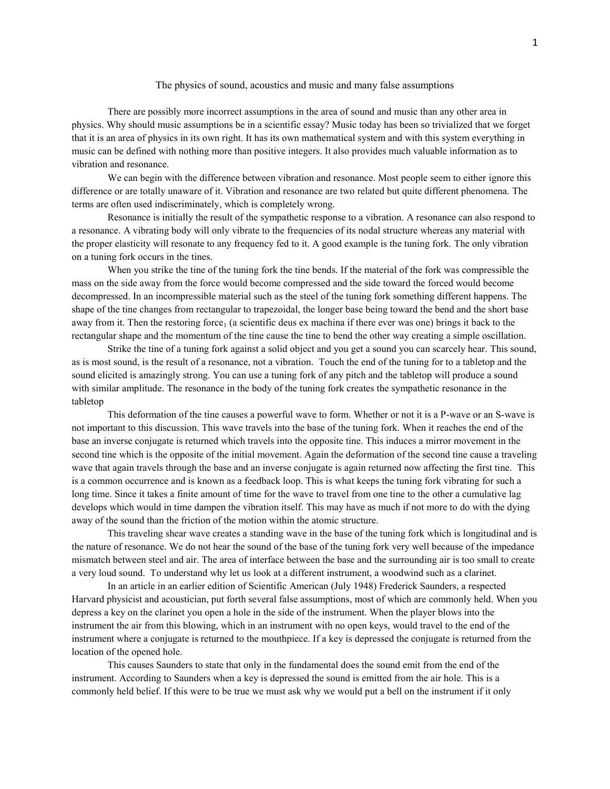## The physics of sound, acoustics and music and many false assumptions

There are possibly more incorrect assumptions in the area of sound and music than any other area in physics. Why should music assumptions be in a scientific essay? Music today has been so trivialized that we forget that it is an area of physics in its own right. It has its own mathematical system and with this system everything in music can be defined with nothing more than positive integers. It also provides much valuable information as to vibration and resonance.

We can begin with the difference between vibration and resonance. Most people seem to either ignore this difference or are totally unaware of it. Vibration and resonance are two related but quite different phenomena. The terms are often used indiscriminately, which is completely wrong.

Resonance is initially the result of the sympathetic response to a vibration. A resonance can also respond to a resonance. A vibrating body will only vibrate to the frequencies of its nodal structure whereas any material with the proper elasticity will resonate to any frequency fed to it. A good example is the tuning fork. The only vibration on a tuning fork occurs in the tines.

When you strike the tine of the tuning fork the tine bends. If the material of the fork was compressible the mass on the side away from the force would become compressed and the side toward the forced would become decompressed. In an incompressible material such as the steel of the tuning fork something different happens. The shape of the tine changes from rectangular to trapezoidal, the longer base being toward the bend and the short base away from it. Then the restoring force<sub>1</sub> (a scientific deus ex machina if there ever was one) brings it back to the rectangular shape and the momentum of the tine cause the tine to bend the other way creating a simple oscillation.

Strike the tine of a tuning fork against a solid object and you get a sound you can scarcely hear. This sound, as is most sound, is the result of a resonance, not a vibration. Touch the end of the tuning for to a tabletop and the sound elicited is amazingly strong. You can use a tuning fork of any pitch and the tabletop will produce a sound with similar amplitude. The resonance in the body of the tuning fork creates the sympathetic resonance in the tabletop

This deformation of the tine causes a powerful wave to form. Whether or not it is a P-wave or an S-wave is not important to this discussion. This wave travels into the base of the tuning fork. When it reaches the end of the base an inverse conjugate is returned which travels into the opposite tine. This induces a mirror movement in the second tine which is the opposite of the initial movement. Again the deformation of the second tine cause a traveling wave that again travels through the base and an inverse conjugate is again returned now affecting the first tine. This is a common occurrence and is known as a feedback loop. This is what keeps the tuning fork vibrating for such a long time. Since it takes a finite amount of time for the wave to travel from one tine to the other a cumulative lag develops which would in time dampen the vibration itself. This may have as much if not more to do with the dying away of the sound than the friction of the motion within the atomic structure.

This traveling shear wave creates a standing wave in the base of the tuning fork which is longitudinal and is the nature of resonance. We do not hear the sound of the base of the tuning fork very well because of the impedance mismatch between steel and air. The area of interface between the base and the surrounding air is too small to create a very loud sound. To understand why let us look at a different instrument, a woodwind such as a clarinet.

In an article in an earlier edition of Scientific American (July 1948) Frederick Saunders, a respected Harvard physicist and acoustician, put forth several false assumptions, most of which are commonly held. When you depress a key on the clarinet you open a hole in the side of the instrument. When the player blows into the instrument the air from this blowing, which in an instrument with no open keys, would travel to the end of the instrument where a conjugate is returned to the mouthpiece. If a key is depressed the conjugate is returned from the location of the opened hole.

This causes Saunders to state that only in the fundamental does the sound emit from the end of the instrument. According to Saunders when a key is depressed the sound is emitted from the air hole. This is a commonly held belief. If this were to be true we must ask why we would put a bell on the instrument if it only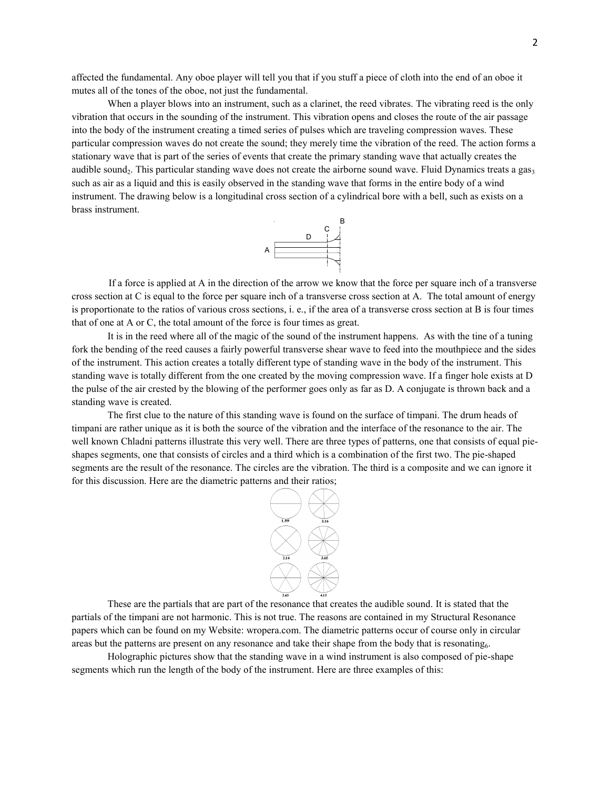affected the fundamental. Any oboe player will tell you that if you stuff a piece of cloth into the end of an oboe it mutes all of the tones of the oboe, not just the fundamental.

When a player blows into an instrument, such as a clarinet, the reed vibrates. The vibrating reed is the only vibration that occurs in the sounding of the instrument. This vibration opens and closes the route of the air passage into the body of the instrument creating a timed series of pulses which are traveling compression waves. These particular compression waves do not create the sound; they merely time the vibration of the reed. The action forms a stationary wave that is part of the series of events that create the primary standing wave that actually creates the audible sound<sub>2</sub>. This particular standing wave does not create the airborne sound wave. Fluid Dynamics treats a gas<sub>3</sub> such as air as a liquid and this is easily observed in the standing wave that forms in the entire body of a wind instrument. The drawing below is a longitudinal cross section of a cylindrical bore with a bell, such as exists on a brass instrument.



If a force is applied at A in the direction of the arrow we know that the force per square inch of a transverse cross section at C is equal to the force per square inch of a transverse cross section at A. The total amount of energy is proportionate to the ratios of various cross sections, i. e., if the area of a transverse cross section at B is four times that of one at A or C, the total amount of the force is four times as great.

It is in the reed where all of the magic of the sound of the instrument happens. As with the tine of a tuning fork the bending of the reed causes a fairly powerful transverse shear wave to feed into the mouthpiece and the sides of the instrument. This action creates a totally different type of standing wave in the body of the instrument. This standing wave is totally different from the one created by the moving compression wave. If a finger hole exists at D the pulse of the air crested by the blowing of the performer goes only as far as D. A conjugate is thrown back and a standing wave is created.

The first clue to the nature of this standing wave is found on the surface of timpani. The drum heads of timpani are rather unique as it is both the source of the vibration and the interface of the resonance to the air. The well known Chladni patterns illustrate this very well. There are three types of patterns, one that consists of equal pieshapes segments, one that consists of circles and a third which is a combination of the first two. The pie-shaped segments are the result of the resonance. The circles are the vibration. The third is a composite and we can ignore it for this discussion. Here are the diametric patterns and their ratios;



These are the partials that are part of the resonance that creates the audible sound. It is stated that the partials of the timpani are not harmonic. This is not true. The reasons are contained in my Structural Resonance papers which can be found on my Website: wropera.com. The diametric patterns occur of course only in circular areas but the patterns are present on any resonance and take their shape from the body that is resonating<sub>6</sub>.

Holographic pictures show that the standing wave in a wind instrument is also composed of pie-shape segments which run the length of the body of the instrument. Here are three examples of this: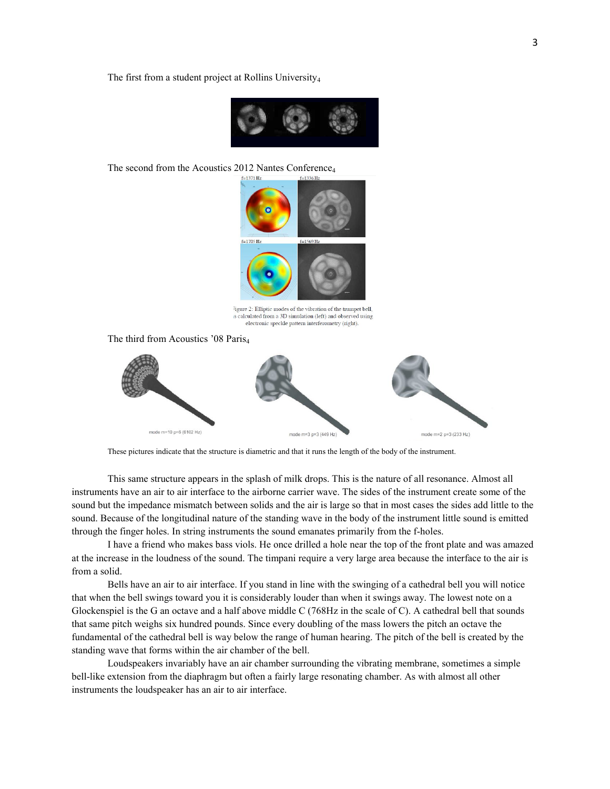The first from a student project at Rollins University<sub>4</sub>



The second from the Acoustics 2012 Nantes Conference<sub>4</sub>



ligure 2: Elliptic modes of the vibration of the trumpet bell, is calculated from a 3D simulation (left) and observed using electronic speckle pattern interferometry (right).

The third from Acoustics '08 Paris<sub>4</sub>



These pictures indicate that the structure is diametric and that it runs the length of the body of the instrument.

This same structure appears in the splash of milk drops. This is the nature of all resonance. Almost all instruments have an air to air interface to the airborne carrier wave. The sides of the instrument create some of the sound but the impedance mismatch between solids and the air is large so that in most cases the sides add little to the sound. Because of the longitudinal nature of the standing wave in the body of the instrument little sound is emitted through the finger holes. In string instruments the sound emanates primarily from the f-holes.

I have a friend who makes bass viols. He once drilled a hole near the top of the front plate and was amazed at the increase in the loudness of the sound. The timpani require a very large area because the interface to the air is from a solid.

Bells have an air to air interface. If you stand in line with the swinging of a cathedral bell you will notice that when the bell swings toward you it is considerably louder than when it swings away. The lowest note on a Glockenspiel is the G an octave and a half above middle C (768Hz in the scale of C). A cathedral bell that sounds that same pitch weighs six hundred pounds. Since every doubling of the mass lowers the pitch an octave the fundamental of the cathedral bell is way below the range of human hearing. The pitch of the bell is created by the standing wave that forms within the air chamber of the bell.

Loudspeakers invariably have an air chamber surrounding the vibrating membrane, sometimes a simple bell-like extension from the diaphragm but often a fairly large resonating chamber. As with almost all other instruments the loudspeaker has an air to air interface.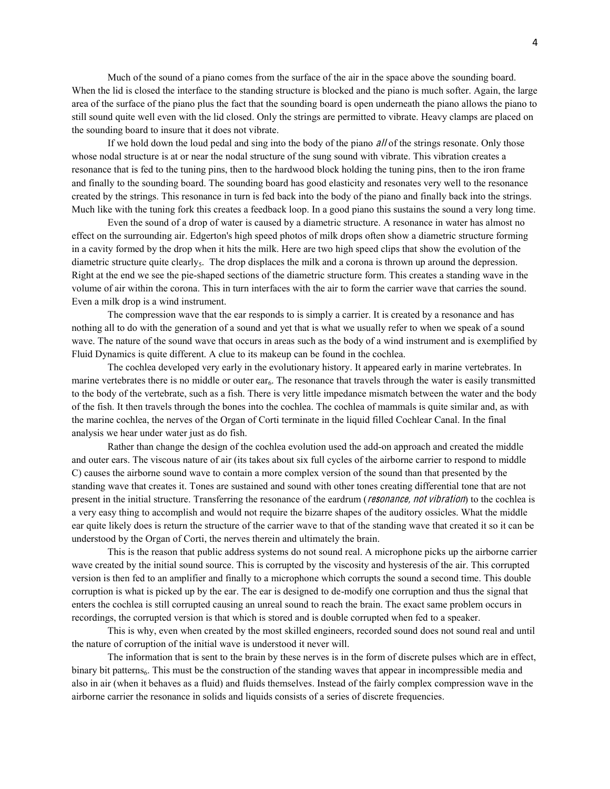Much of the sound of a piano comes from the surface of the air in the space above the sounding board. When the lid is closed the interface to the standing structure is blocked and the piano is much softer. Again, the large area of the surface of the piano plus the fact that the sounding board is open underneath the piano allows the piano to still sound quite well even with the lid closed. Only the strings are permitted to vibrate. Heavy clamps are placed on the sounding board to insure that it does not vibrate.

If we hold down the loud pedal and sing into the body of the piano *all* of the strings resonate. Only those whose nodal structure is at or near the nodal structure of the sung sound with vibrate. This vibration creates a resonance that is fed to the tuning pins, then to the hardwood block holding the tuning pins, then to the iron frame and finally to the sounding board. The sounding board has good elasticity and resonates very well to the resonance created by the strings. This resonance in turn is fed back into the body of the piano and finally back into the strings. Much like with the tuning fork this creates a feedback loop. In a good piano this sustains the sound a very long time.

Even the sound of a drop of water is caused by a diametric structure. A resonance in water has almost no effect on the surrounding air. Edgerton's high speed photos of milk drops often show a diametric structure forming in a cavity formed by the drop when it hits the milk. Here are two high speed clips that show the evolution of the diametric structure quite clearly<sub>5</sub>. The drop displaces the milk and a corona is thrown up around the depression. Right at the end we see the pie-shaped sections of the diametric structure form. This creates a standing wave in the volume of air within the corona. This in turn interfaces with the air to form the carrier wave that carries the sound. Even a milk drop is a wind instrument.

The compression wave that the ear responds to is simply a carrier. It is created by a resonance and has nothing all to do with the generation of a sound and yet that is what we usually refer to when we speak of a sound wave. The nature of the sound wave that occurs in areas such as the body of a wind instrument and is exemplified by Fluid Dynamics is quite different. A clue to its makeup can be found in the cochlea.

The cochlea developed very early in the evolutionary history. It appeared early in marine vertebrates. In marine vertebrates there is no middle or outer ear<sub>6</sub>. The resonance that travels through the water is easily transmitted to the body of the vertebrate, such as a fish. There is very little impedance mismatch between the water and the body of the fish. It then travels through the bones into the cochlea. The cochlea of mammals is quite similar and, as with the marine cochlea, the nerves of the Organ of Corti terminate in the liquid filled Cochlear Canal. In the final analysis we hear under water just as do fish.

Rather than change the design of the cochlea evolution used the add-on approach and created the middle and outer ears. The viscous nature of air (its takes about six full cycles of the airborne carrier to respond to middle C) causes the airborne sound wave to contain a more complex version of the sound than that presented by the standing wave that creates it. Tones are sustained and sound with other tones creating differential tone that are not present in the initial structure. Transferring the resonance of the eardrum (resonance, not vibration) to the cochlea is a very easy thing to accomplish and would not require the bizarre shapes of the auditory ossicles. What the middle ear quite likely does is return the structure of the carrier wave to that of the standing wave that created it so it can be understood by the Organ of Corti, the nerves therein and ultimately the brain.

This is the reason that public address systems do not sound real. A microphone picks up the airborne carrier wave created by the initial sound source. This is corrupted by the viscosity and hysteresis of the air. This corrupted version is then fed to an amplifier and finally to a microphone which corrupts the sound a second time. This double corruption is what is picked up by the ear. The ear is designed to de-modify one corruption and thus the signal that enters the cochlea is still corrupted causing an unreal sound to reach the brain. The exact same problem occurs in recordings, the corrupted version is that which is stored and is double corrupted when fed to a speaker.

This is why, even when created by the most skilled engineers, recorded sound does not sound real and until the nature of corruption of the initial wave is understood it never will.

The information that is sent to the brain by these nerves is in the form of discrete pulses which are in effect, binary bit patterns<sub>6</sub>. This must be the construction of the standing waves that appear in incompressible media and also in air (when it behaves as a fluid) and fluids themselves. Instead of the fairly complex compression wave in the airborne carrier the resonance in solids and liquids consists of a series of discrete frequencies.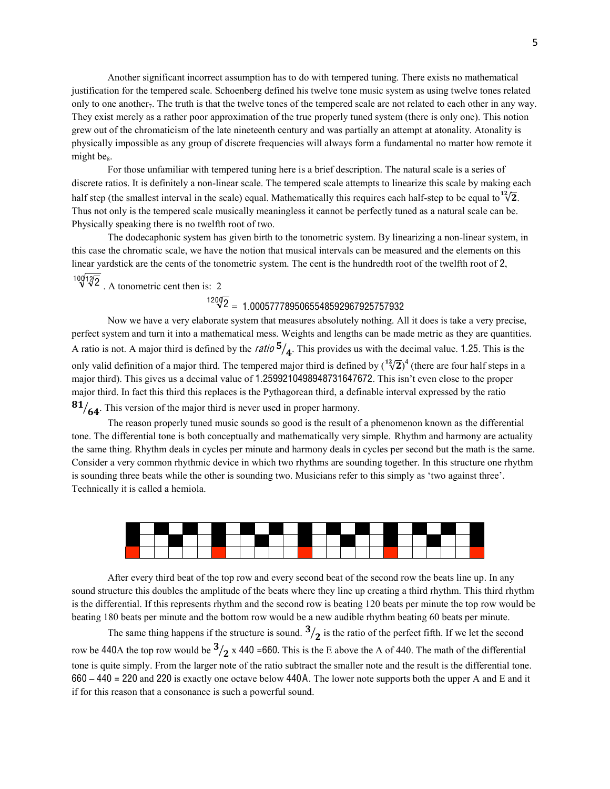Another significant incorrect assumption has to do with tempered tuning. There exists no mathematical justification for the tempered scale. Schoenberg defined his twelve tone music system as using twelve tones related only to one another<sub>7</sub>. The truth is that the twelve tones of the tempered scale are not related to each other in any way. They exist merely as a rather poor approximation of the true properly tuned system (there is only one). This notion grew out of the chromaticism of the late nineteenth century and was partially an attempt at atonality. Atonality is physically impossible as any group of discrete frequencies will always form a fundamental no matter how remote it might be<sub>8</sub>.

For those unfamiliar with tempered tuning here is a brief description. The natural scale is a series of discrete ratios. It is definitely a non-linear scale. The tempered scale attempts to linearize this scale by making each half step (the smallest interval in the scale) equal. Mathematically this requires each half-step to be equal to  $^{12}\sqrt{2}$ . Thus not only is the tempered scale musically meaningless it cannot be perfectly tuned as a natural scale can be. Physically speaking there is no twelfth root of two.

The dodecaphonic system has given birth to the tonometric system. By linearizing a non-linear system, in this case the chromatic scale, we have the notion that musical intervals can be measured and the elements on this linear yardstick are the cents of the tonometric system. The cent is the hundredth root of the twelfth root of 2,

 $\sqrt[10]{\sqrt[12]{2}}$ . A tonometric cent then is: 2

## $\sqrt[1200]{2}$  = 1.0005777895065548592967925757932

Now we have a very elaborate system that measures absolutely nothing. All it does is take a very precise, perfect system and turn it into a mathematical mess. Weights and lengths can be made metric as they are quantities. A ratio is not. A major third is defined by the *ratio*  $\frac{5}{4}$ . This provides us with the decimal value. 1.25. This is the only valid definition of a major third. The tempered major third is defined by  $({}^{12}\sqrt{2})^4$  (there are four half steps in a major third). This gives us a decimal value of 1.2599210498948731647672. This isn't even close to the proper major third. In fact this third this replaces is the Pythagorean third, a definable interval expressed by the ratio  $\mathbf{81}_{\sqrt{64}}$ . This version of the major third is never used in proper harmony.

The reason properly tuned music sounds so good is the result of a phenomenon known as the differential tone. The differential tone is both conceptually and mathematically very simple. Rhythm and harmony are actuality the same thing. Rhythm deals in cycles per minute and harmony deals in cycles per second but the math is the same. Consider a very common rhythmic device in which two rhythms are sounding together. In this structure one rhythm is sounding three beats while the other is sounding two. Musicians refer to this simply as 'two against three'. Technically it is called a hemiola.



After every third beat of the top row and every second beat of the second row the beats line up. In any sound structure this doubles the amplitude of the beats where they line up creating a third rhythm. This third rhythm is the differential. If this represents rhythm and the second row is beating 120 beats per minute the top row would be beating 180 beats per minute and the bottom row would be a new audible rhythm beating 60 beats per minute.

The same thing happens if the structure is sound.  $3/2$  is the ratio of the perfect fifth. If we let the second row be 440A the top row would be  $\frac{3}{2}$  x 440 =660. This is the E above the A of 440. The math of the differential tone is quite simply. From the larger note of the ratio subtract the smaller note and the result is the differential tone. 660 **–** 440 = 220 and 220 is exactly one octave below 440A. The lower note supports both the upper A and E and it if for this reason that a consonance is such a powerful sound.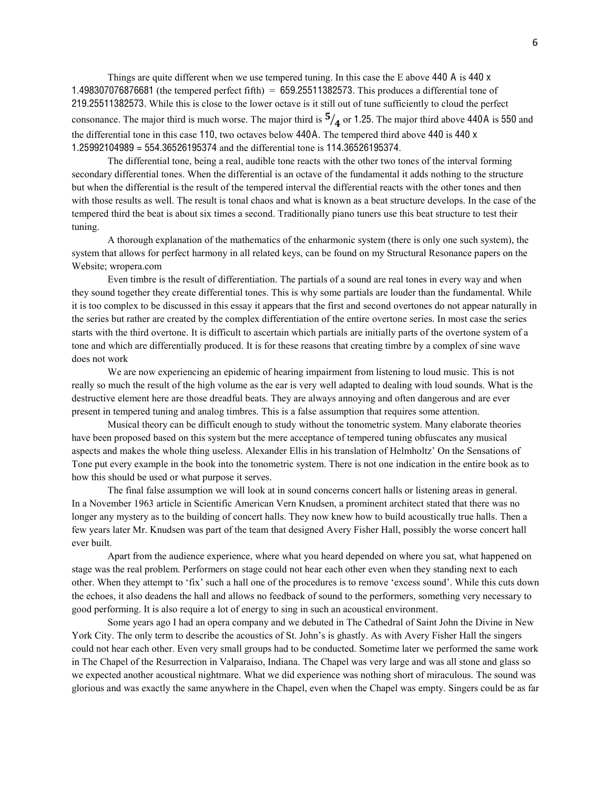Things are quite different when we use tempered tuning. In this case the E above 440 A is 440 x 1.498307076876681 (the tempered perfect fifth) = 659.25511382573. This produces a differential tone of 219.25511382573. While this is close to the lower octave is it still out of tune sufficiently to cloud the perfect consonance. The major third is much worse. The major third is  $\frac{5}{4}$  or 1.25. The major third above 440A is 550 and the differential tone in this case 110, two octaves below 440A. The tempered third above 440 is 440 x 1.25992104989 = 554.36526195374 and the differential tone is 114.36526195374.

The differential tone, being a real, audible tone reacts with the other two tones of the interval forming secondary differential tones. When the differential is an octave of the fundamental it adds nothing to the structure but when the differential is the result of the tempered interval the differential reacts with the other tones and then with those results as well. The result is tonal chaos and what is known as a beat structure develops. In the case of the tempered third the beat is about six times a second. Traditionally piano tuners use this beat structure to test their tuning.

A thorough explanation of the mathematics of the enharmonic system (there is only one such system), the system that allows for perfect harmony in all related keys, can be found on my Structural Resonance papers on the Website; wropera.com

Even timbre is the result of differentiation. The partials of a sound are real tones in every way and when they sound together they create differential tones. This is why some partials are louder than the fundamental. While it is too complex to be discussed in this essay it appears that the first and second overtones do not appear naturally in the series but rather are created by the complex differentiation of the entire overtone series. In most case the series starts with the third overtone. It is difficult to ascertain which partials are initially parts of the overtone system of a tone and which are differentially produced. It is for these reasons that creating timbre by a complex of sine wave does not work

We are now experiencing an epidemic of hearing impairment from listening to loud music. This is not really so much the result of the high volume as the ear is very well adapted to dealing with loud sounds. What is the destructive element here are those dreadful beats. They are always annoying and often dangerous and are ever present in tempered tuning and analog timbres. This is a false assumption that requires some attention.

Musical theory can be difficult enough to study without the tonometric system. Many elaborate theories have been proposed based on this system but the mere acceptance of tempered tuning obfuscates any musical aspects and makes the whole thing useless. Alexander Ellis in his translation of Helmholtz' On the Sensations of Tone put every example in the book into the tonometric system. There is not one indication in the entire book as to how this should be used or what purpose it serves.

The final false assumption we will look at in sound concerns concert halls or listening areas in general. In a November 1963 article in Scientific American Vern Knudsen, a prominent architect stated that there was no longer any mystery as to the building of concert halls. They now knew how to build acoustically true halls. Then a few years later Mr. Knudsen was part of the team that designed Avery Fisher Hall, possibly the worse concert hall ever built.

Apart from the audience experience, where what you heard depended on where you sat, what happened on stage was the real problem. Performers on stage could not hear each other even when they standing next to each other. When they attempt to 'fix' such a hall one of the procedures is to remove 'excess sound'. While this cuts down the echoes, it also deadens the hall and allows no feedback of sound to the performers, something very necessary to good performing. It is also require a lot of energy to sing in such an acoustical environment.

Some years ago I had an opera company and we debuted in The Cathedral of Saint John the Divine in New York City. The only term to describe the acoustics of St. John's is ghastly. As with Avery Fisher Hall the singers could not hear each other. Even very small groups had to be conducted. Sometime later we performed the same work in The Chapel of the Resurrection in Valparaiso, Indiana. The Chapel was very large and was all stone and glass so we expected another acoustical nightmare. What we did experience was nothing short of miraculous. The sound was glorious and was exactly the same anywhere in the Chapel, even when the Chapel was empty. Singers could be as far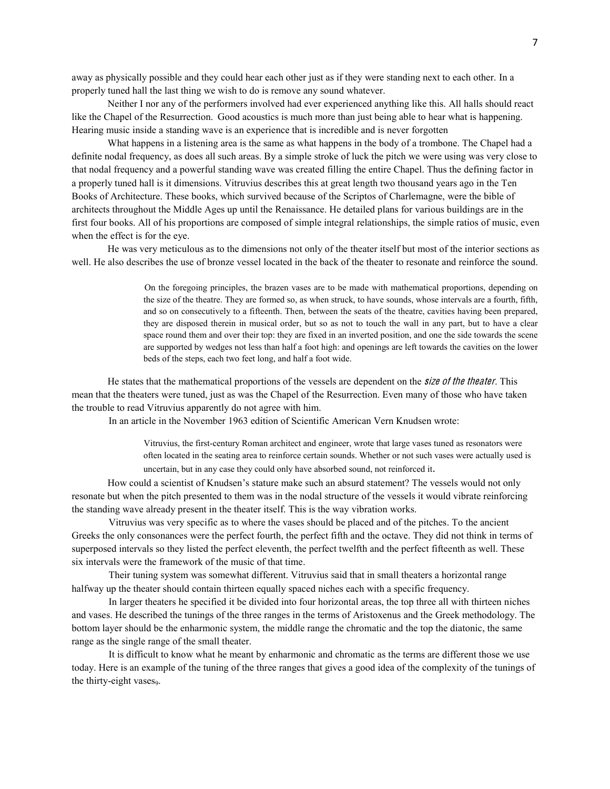away as physically possible and they could hear each other just as if they were standing next to each other. In a properly tuned hall the last thing we wish to do is remove any sound whatever.

Neither I nor any of the performers involved had ever experienced anything like this. All halls should react like the Chapel of the Resurrection. Good acoustics is much more than just being able to hear what is happening. Hearing music inside a standing wave is an experience that is incredible and is never forgotten

What happens in a listening area is the same as what happens in the body of a trombone. The Chapel had a definite nodal frequency, as does all such areas. By a simple stroke of luck the pitch we were using was very close to that nodal frequency and a powerful standing wave was created filling the entire Chapel. Thus the defining factor in a properly tuned hall is it dimensions. Vitruvius describes this at great length two thousand years ago in the Ten Books of Architecture. These books, which survived because of the Scriptos of Charlemagne, were the bible of architects throughout the Middle Ages up until the Renaissance. He detailed plans for various buildings are in the first four books. All of his proportions are composed of simple integral relationships, the simple ratios of music, even when the effect is for the eye.

He was very meticulous as to the dimensions not only of the theater itself but most of the interior sections as well. He also describes the use of bronze vessel located in the back of the theater to resonate and reinforce the sound.

> On the foregoing principles, the brazen vases are to be made with mathematical proportions, depending on the size of the theatre. They are formed so, as when struck, to have sounds, whose intervals are a fourth, fifth, and so on consecutively to a fifteenth. Then, between the seats of the theatre, cavities having been prepared, they are disposed therein in musical order, but so as not to touch the wall in any part, but to have a clear space round them and over their top: they are fixed in an inverted position, and one the side towards the scene are supported by wedges not less than half a foot high: and openings are left towards the cavities on the lower beds of the steps, each two feet long, and half a foot wide.

He states that the mathematical proportions of the vessels are dependent on the *size of the theater*. This mean that the theaters were tuned, just as was the Chapel of the Resurrection. Even many of those who have taken the trouble to read Vitruvius apparently do not agree with him.

In an article in the November 1963 edition of Scientific American Vern Knudsen wrote:

Vitruvius, the first-century Roman architect and engineer, wrote that large vases tuned as resonators were often located in the seating area to reinforce certain sounds. Whether or not such vases were actually used is uncertain, but in any case they could only have absorbed sound, not reinforced it.

How could a scientist of Knudsen's stature make such an absurd statement? The vessels would not only resonate but when the pitch presented to them was in the nodal structure of the vessels it would vibrate reinforcing the standing wave already present in the theater itself. This is the way vibration works.

Vitruvius was very specific as to where the vases should be placed and of the pitches. To the ancient Greeks the only consonances were the perfect fourth, the perfect fifth and the octave. They did not think in terms of superposed intervals so they listed the perfect eleventh, the perfect twelfth and the perfect fifteenth as well. These six intervals were the framework of the music of that time.

Their tuning system was somewhat different. Vitruvius said that in small theaters a horizontal range halfway up the theater should contain thirteen equally spaced niches each with a specific frequency.

In larger theaters he specified it be divided into four horizontal areas, the top three all with thirteen niches and vases. He described the tunings of the three ranges in the terms of Aristoxenus and the Greek methodology. The bottom layer should be the enharmonic system, the middle range the chromatic and the top the diatonic, the same range as the single range of the small theater.

It is difficult to know what he meant by enharmonic and chromatic as the terms are different those we use today. Here is an example of the tuning of the three ranges that gives a good idea of the complexity of the tunings of the thirty-eight vases.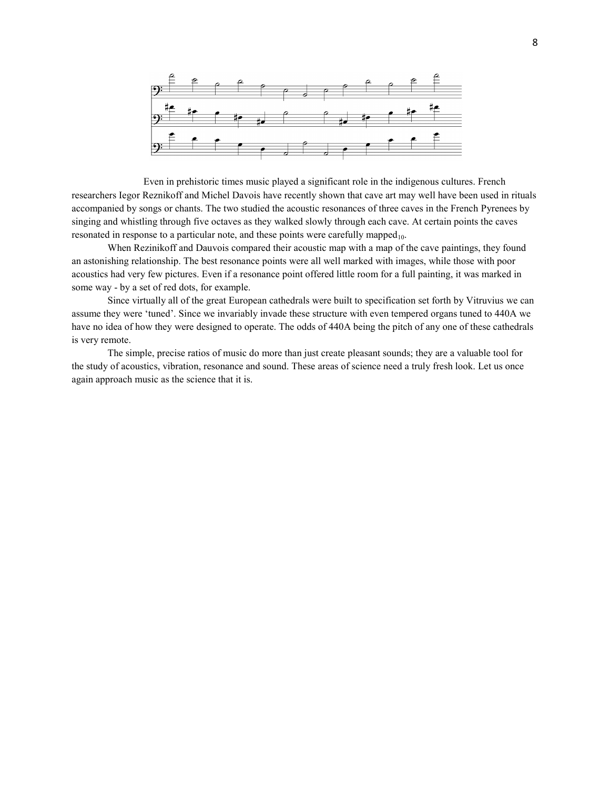

Even in prehistoric times music played a significant role in the indigenous cultures. French researchers Iegor Reznikoff and Michel Davois have recently shown that cave art may well have been used in rituals accompanied by songs or chants. The two studied the acoustic resonances of three caves in the French Pyrenees by singing and whistling through five octaves as they walked slowly through each cave. At certain points the caves resonated in response to a particular note, and these points were carefully mapped<sub>10</sub>.

When Rezinikoff and Dauvois compared their acoustic map with a map of the cave paintings, they found an astonishing relationship. The best resonance points were all well marked with images, while those with poor acoustics had very few pictures. Even if a resonance point offered little room for a full painting, it was marked in some way - by a set of red dots, for example.

Since virtually all of the great European cathedrals were built to specification set forth by Vitruvius we can assume they were 'tuned'. Since we invariably invade these structure with even tempered organs tuned to 440A we have no idea of how they were designed to operate. The odds of 440A being the pitch of any one of these cathedrals is very remote.

The simple, precise ratios of music do more than just create pleasant sounds; they are a valuable tool for the study of acoustics, vibration, resonance and sound. These areas of science need a truly fresh look. Let us once again approach music as the science that it is.